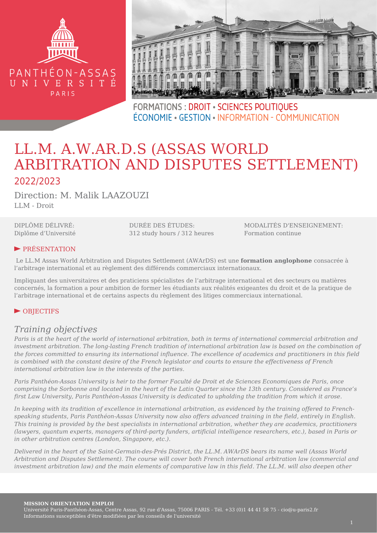



**FORMATIONS: DROIT · SCIENCES POLITIOUES** ÉCONOMIE • GESTION • INFORMATION - COMMUNICATION

# LL.M. A.W.AR.D.S (ASSAS WORLD ARBITRATION AND DISPUTES SETTLEMENT) 2022/2023

Direction: M. Malik LAAZOUZI LLM - Droit

DIPLÔME DÉLIVRÉ: Diplôme d'Université

DURÉE DES ÉTUDES: 312 study hours / 312 heures

MODALITÉS D'ENSEIGNEMENT: Formation continue

## ► PRÉSENTATION

 Le LL.M Assas World Arbitration and Disputes Settlement (AWArDS) est une **formation anglophone** consacrée à l'arbitrage international et au règlement des différends commerciaux internationaux.

Impliquant des universitaires et des praticiens spécialistes de l'arbitrage international et des secteurs ou matières concernés, la formation a pour ambition de former les étudiants aux réalités exigeantes du droit et de la pratique de l'arbitrage international et de certains aspects du règlement des litiges commerciaux international.

## ► OBJECTIFS

## *Training objectives*

*Paris is at the heart of the world of international arbitration, both in terms of international commercial arbitration and investment arbitration. The long-lasting French tradition of international arbitration law is based on the combination of the forces committed to ensuring its international influence. The excellence of academics and practitioners in this field is combined with the constant desire of the French legislator and courts to ensure the effectiveness of French international arbitration law in the interests of the parties.*

*Paris Panthéon-Assas University is heir to the former Faculté de Droit et de Sciences Economiques de Paris, once comprising the Sorbonne and located in the heart of the Latin Quarter since the 13th century. Considered as France's first Law University, Paris Panthéon-Assas University is dedicated to upholding the tradition from which it arose.*

*In keeping with its tradition of excellence in international arbitration, as evidenced by the training offered to Frenchspeaking students, Paris Panthéon-Assas University now also offers advanced training in the field, entirely in English. This training is provided by the best specialists in international arbitration, whether they are academics, practitioners (lawyers, quantum experts, managers of third-party funders, artificial intelligence researchers, etc.), based in Paris or in other arbitration centres (London, Singapore, etc.).*

*Delivered in the heart of the Saint-Germain-des-Prés District, the LL.M. AWArDS bears its name well (Assas World Arbitration and Disputes Settlement). The course will cover both French international arbitration law (commercial and investment arbitration law) and the main elements of comparative law in this field. The LL.M. will also deepen other*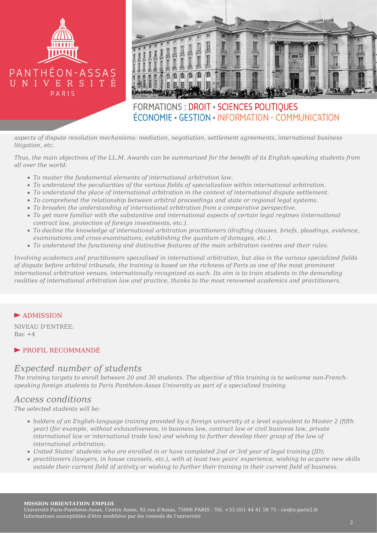



## **FORMATIONS: DROIT · SCIENCES POLITIOUES** ÉCONOMIE • GESTION • INFORMATION - COMMUNICATION

*aspects of dispute resolution mechanisms: mediation, negotiation, settlement agreements, international business litigation, etc.*

*Thus, the main objectives of the LL.M. Awards can be summarized for the benefit of its English-speaking students from all over the world:*

- *To master the fundamental elements of international arbitration law.*
- *To understand the peculiarities of the various fields of specialization within international arbitration.*
- *To understand the place of international arbitration in the context of international dispute settlement.*
- *To comprehend the relationship between arbitral proceedings and state or regional legal systems.*
- *To broaden the understanding of international arbitration from a comparative perspective.*
- *To get more familiar with the substantive and international aspects of certain legal regimes (international contract law, protection of foreign investments, etc.).*
- *To decline the knowledge of international arbitration practitioners (drafting clauses, briefs, pleadings, evidence, examinations and cross-examinations, establishing the quantum of damages, etc.).*
- *To understand the functioning and distinctive features of the main arbitration centres and their rules.*

*Involving academics and practitioners specialised in international arbitration, but also in the various specialized fields of dispute before arbitral tribunals, the training is based on the richness of Paris as one of the most prominent international arbitration venues, internationally recognized as such. Its aim is to train students in the demanding realities of international arbitration law and practice, thanks to the most renowned academics and practitioners.*

## ► ADMISSION

NIVEAU D'ENTRÉE: Bac  $+4$ 

## ► PROFIL RECOMMANDÉ

## *Expected number of students*

*The training targets to enroll between 20 and 30 students. The objective of this training is to welcome non-Frenchspeaking foreign students to Paris Panthéon-Assas University as part of a specialized training*

## *Access conditions*

*The selected students will be:*

- *holders of an English-language training provided by a foreign university at a level equivalent to Master 2 (fifth year) (for example, without exhaustiveness, in business law, contract law or civil business law, private international law or international trade law) and wishing to further develop their grasp of the law of international arbitration;*
- *United States' students who are enrolled in or have completed 2nd or 3rd year of legal training (JD);*
- *practitioners (lawyers, in house counsels, etc.), with at least two years' experience, wishing to acquire new skills outside their current field of activity or wishing to further their training in their current field of business.*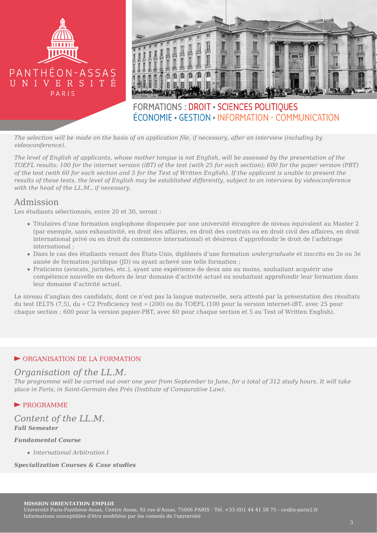



## **FORMATIONS: DROIT · SCIENCES POLITIOUES** ÉCONOMIE • GESTION • INFORMATION - COMMUNICATION

*The selection will be made on the basis of an application file, if necessary, after an interview (including by videoconference).*

*The level of English of applicants, whose mother tongue is not English, will be assessed by the presentation of the TOEFL results: 100 for the internet version (iBT) of the test (with 25 for each section); 600 for the paper version (PBT) of the test (with 60 for each section and 5 for the Test of Written English). If the applicant is unable to present the results of these tests, the level of English may be established differently, subject to an interview by videoconference with the head of the LL.M., if necessary.*

## Admission

Les étudiants sélectionnés, entre 20 et 30, seront :

- Titulaires d'une formation anglophone dispensée par une université étrangère de niveau équivalent au Master 2 (par exemple, sans exhaustivité, en droit des affaires, en droit des contrats ou en droit civil des affaires, en droit international privé ou en droit du commerce international) et désireux d'approfondir le droit de l'arbitrage international ;
- Dans le cas des étudiants venant des États-Unis, diplômés d'une formation *undergraduate* et inscrits en 2e ou 3e année de formation juridique (JD) ou ayant achevé une telle formation ;
- Praticiens (avocats, juristes, etc.), ayant une expérience de deux ans au moins, souhaitant acquérir une compétence nouvelle en dehors de leur domaine d'activité actuel ou souhaitant approfondir leur formation dans leur domaine d'activité actuel.

Le niveau d'anglais des candidats, dont ce n'est pas la langue maternelle, sera attesté par la présentation des résultats du test IELTS (7,5), du « C2 Proficiency test » (200) ou du TOEFL (100 pour la version internet-iBT, avec 25 pour chaque section ; 600 pour la version papier-PBT, avec 60 pour chaque section et 5 au Test of Written English).

## ► ORGANISATION DE LA FORMATION

## *Organisation of the LL.M.*

*The programme will be carried out over one year from September to June, for a total of 312 study hours. It will take place in Paris, in Saint-Germain des Prés (Institute of Comparative Law).*

## ► PROGRAMME

## *Content of the LL.M. Fall Semester*

#### *Fundamental Course*

*International Arbitration I*

#### *Specialization Courses & Case studies*

#### **MISSION ORIENTATION EMPLOI**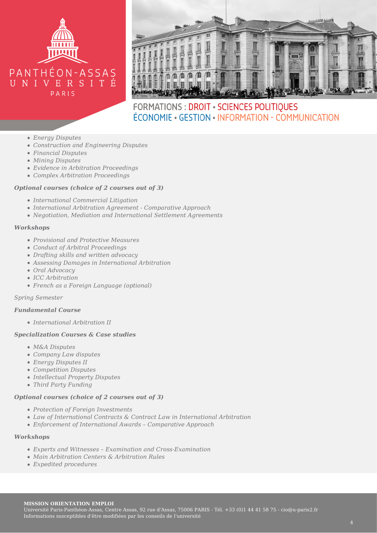



## FORMATIONS : DROIT · SCIENCES POLITIQUES ÉCONOMIE • GESTION • INFORMATION - COMMUNICATION

- *Energy Disputes*
- *Construction and Engineering Disputes*
- *Financial Disputes*
- *Mining Disputes*
- *Evidence in Arbitration Proceedings*
- *Complex Arbitration Proceedings*

#### *Optional courses (choice of 2 courses out of 3)*

- *International Commercial Litigation*
- *International Arbitration Agreement Comparative Approach*
- *Negotiation, Mediation and International Settlement Agreements*

#### *Workshops*

- *Provisional and Protective Measures*
- *Conduct of Arbitral Proceedings*
- *Drafting skills and written advocacy*
- *Assessing Damages in International Arbitration*
- *Oral Advocacy*
- *ICC Arbitration*
- *French as a Foreign Language (optional)*

*Spring Semester*

#### *Fundamental Course*

*International Arbitration II*

#### *Specialization Courses & Case studies*

- *M&A Disputes*
- *Company Law disputes*
- *Energy Disputes II*
- *Competition Disputes*
- *Intellectual Property Disputes*
- *Third Party Funding*

## *Optional courses (choice of 2 courses out of 3)*

- *Protection of Foreign Investments*
- *Law of International Contracts & Contract Law in International Arbitration*
- *Enforcement of International Awards Comparative Approach*

### *Workshops*

- *Experts and Witnesses Examination and Cross-Examination*
- *Main Arbitration Centers & Arbitration Rules*
- *Expedited procedures*